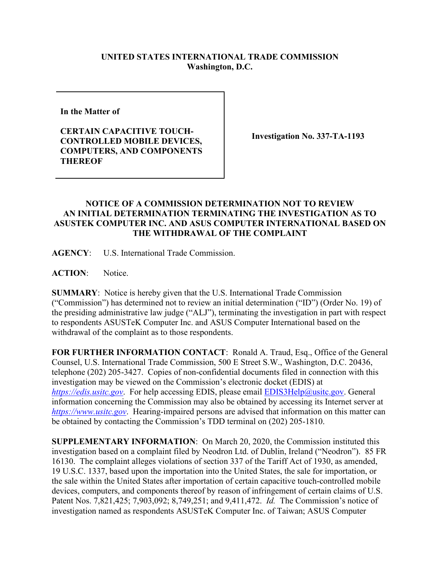## **UNITED STATES INTERNATIONAL TRADE COMMISSION Washington, D.C.**

**In the Matter of** 

**CERTAIN CAPACITIVE TOUCH-CONTROLLED MOBILE DEVICES, COMPUTERS, AND COMPONENTS THEREOF**

**Investigation No. 337-TA-1193**

## **NOTICE OF A COMMISSION DETERMINATION NOT TO REVIEW AN INITIAL DETERMINATION TERMINATING THE INVESTIGATION AS TO ASUSTEK COMPUTER INC. AND ASUS COMPUTER INTERNATIONAL BASED ON THE WITHDRAWAL OF THE COMPLAINT**

**AGENCY**: U.S. International Trade Commission.

**ACTION**: Notice.

**SUMMARY**: Notice is hereby given that the U.S. International Trade Commission ("Commission") has determined not to review an initial determination ("ID") (Order No. 19) of the presiding administrative law judge ("ALJ"), terminating the investigation in part with respect to respondents ASUSTeK Computer Inc. and ASUS Computer International based on the withdrawal of the complaint as to those respondents.

**FOR FURTHER INFORMATION CONTACT**: Ronald A. Traud, Esq., Office of the General Counsel, U.S. International Trade Commission, 500 E Street S.W., Washington, D.C. 20436, telephone (202) 205-3427. Copies of non-confidential documents filed in connection with this investigation may be viewed on the Commission's electronic docket (EDIS) at *[https://edis.usitc.gov](https://edis.usitc.gov/)*. For help accessing EDIS, please email [EDIS3Help@usitc.gov.](mailto:EDIS3Help@usitc.gov) General information concerning the Commission may also be obtained by accessing its Internet server at *[https://www.usitc.gov](https://www.usitc.gov/)*. Hearing-impaired persons are advised that information on this matter can be obtained by contacting the Commission's TDD terminal on (202) 205-1810.

**SUPPLEMENTARY INFORMATION**: On March 20, 2020, the Commission instituted this investigation based on a complaint filed by Neodron Ltd. of Dublin, Ireland ("Neodron"). 85 FR 16130. The complaint alleges violations of section 337 of the Tariff Act of 1930, as amended, 19 U.S.C. 1337, based upon the importation into the United States, the sale for importation, or the sale within the United States after importation of certain capacitive touch-controlled mobile devices, computers, and components thereof by reason of infringement of certain claims of U.S. Patent Nos. 7,821,425; 7,903,092; 8,749,251; and 9,411,472. *Id.* The Commission's notice of investigation named as respondents ASUSTeK Computer Inc. of Taiwan; ASUS Computer